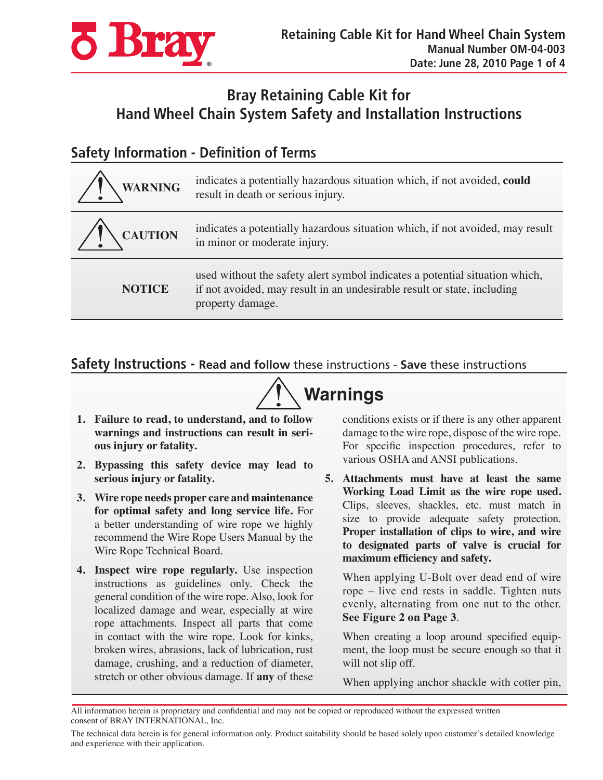

## **Bray Retaining Cable Kit for Hand Wheel Chain System Safety and Installation Instructions**

### **Safety Information - Definition of Terms**

| <b>WARNING</b>               | indicates a potentially hazardous situation which, if not avoided, could<br>result in death or serious injury.                                                             |
|------------------------------|----------------------------------------------------------------------------------------------------------------------------------------------------------------------------|
| <b>CAUTION</b><br>$\sqrt{1}$ | indicates a potentially hazardous situation which, if not avoided, may result<br>in minor or moderate injury.                                                              |
| <b>NOTICE</b>                | used without the safety alert symbol indicates a potential situation which,<br>if not avoided, may result in an undesirable result or state, including<br>property damage. |

#### **Safety Instructions - Read and follow** these instructions - **Save** these instructions



- **1. Failure to read, to understand, and to follow warnings and instructions can result in serious injury or fatality.**
- **2. Bypassing this safety device may lead to serious injury or fatality.**
- **3. Wire rope needs proper care and maintenance for optimal safety and long service life.** For a better understanding of wire rope we highly recommend the Wire Rope Users Manual by the Wire Rope Technical Board.
- **4. Inspect wire rope regularly.** Use inspection instructions as guidelines only. Check the general condition of the wire rope. Also, look for localized damage and wear, especially at wire rope attachments. Inspect all parts that come in contact with the wire rope. Look for kinks, broken wires, abrasions, lack of lubrication, rust damage, crushing, and a reduction of diameter, stretch or other obvious damage. If **any** of these

conditions exists or if there is any other apparent damage to the wire rope, dispose of the wire rope. For specific inspection procedures, refer to various OSHA and ANSI publications.

**5. Attachments must have at least the same Working Load Limit as the wire rope used.**  Clips, sleeves, shackles, etc. must match in size to provide adequate safety protection. **Proper installation of clips to wire, and wire to designated parts of valve is crucial for maximum efficiency and safety.**

When applying U-Bolt over dead end of wire rope – live end rests in saddle. Tighten nuts evenly, alternating from one nut to the other. **See Figure 2 on Page 3**.

When creating a loop around specified equipment, the loop must be secure enough so that it will not slip off.

When applying anchor shackle with cotter pin,

All information herein is proprietary and confidential and may not be copied or reproduced without the expressed written consent of BRAY INTERNATIONAL, Inc.

The technical data herein is for general information only. Product suitability should be based solely upon customer's detailed knowledge and experience with their application.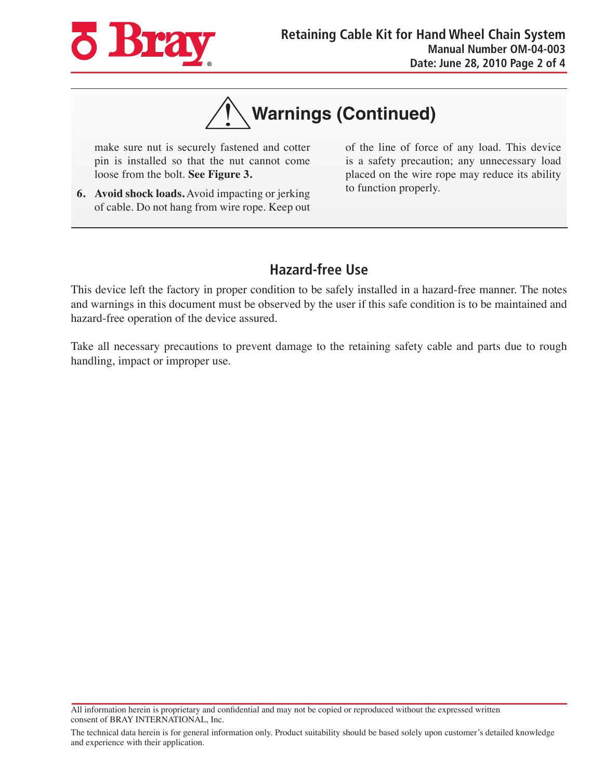

# **Warnings (Continued)**

make sure nut is securely fastened and cotter pin is installed so that the nut cannot come loose from the bolt. **See Figure 3.**

**6. Avoid shock loads.** Avoid impacting or jerking of cable. Do not hang from wire rope. Keep out of the line of force of any load. This device is a safety precaution; any unnecessary load placed on the wire rope may reduce its ability to function properly.

#### **Hazard-free Use**

This device left the factory in proper condition to be safely installed in a hazard-free manner. The notes and warnings in this document must be observed by the user if this safe condition is to be maintained and hazard-free operation of the device assured.

Take all necessary precautions to prevent damage to the retaining safety cable and parts due to rough handling, impact or improper use.

All information herein is proprietary and confidential and may not be copied or reproduced without the expressed written consent of BRAY INTERNATIONAL, Inc.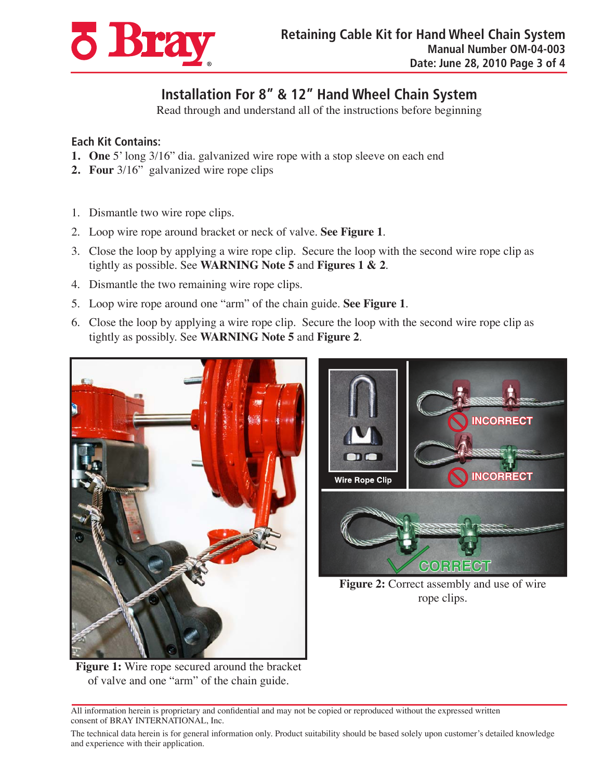

## **Installation For 8" & 12" Hand Wheel Chain System**

Read through and understand all of the instructions before beginning

#### **Each Kit Contains:**

- **1. One** 5' long 3/16" dia. galvanized wire rope with a stop sleeve on each end
- **2. Four** 3/16" galvanized wire rope clips
- 1. Dismantle two wire rope clips.
- 2. Loop wire rope around bracket or neck of valve. **See Figure 1**.
- 3. Close the loop by applying a wire rope clip. Secure the loop with the second wire rope clip as tightly as possible. See **WARNING Note 5** and **Figures 1 & 2**.
- 4. Dismantle the two remaining wire rope clips.
- 5. Loop wire rope around one "arm" of the chain guide. **See Figure 1**.
- 6. Close the loop by applying a wire rope clip. Secure the loop with the second wire rope clip as tightly as possibly. See **WARNING Note 5** and **Figure 2**.





rope clips.

**Figure 1:** Wire rope secured around the bracket of valve and one "arm" of the chain guide.

All information herein is proprietary and confidential and may not be copied or reproduced without the expressed written consent of BRAY INTERNATIONAL, Inc.

The technical data herein is for general information only. Product suitability should be based solely upon customer's detailed knowledge and experience with their application.